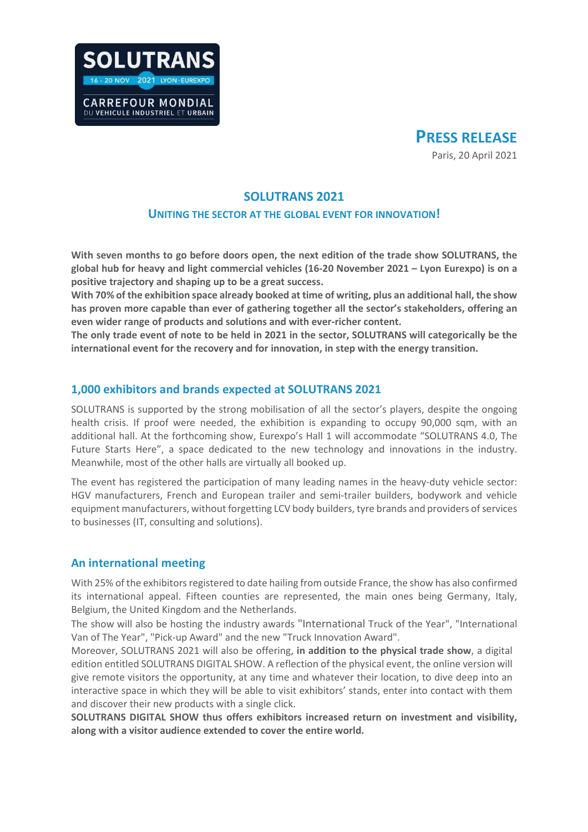



## **SOLUTRANS 2021**

#### **UNITING THE SECTOR AT THE GLOBAL EVENT FOR INNOVATION!**

**With seven months to go before doors open, the next edition of the trade show SOLUTRANS, the global hub for heavy and light commercial vehicles (16-20 November 2021 – Lyon Eurexpo) is on a positive trajectory and shaping up to be a great success.** 

**With 70% of the exhibition space already booked at time of writing, plus an additional hall, the show has proven more capable than ever of gathering together all the sector's stakeholders, offering an even wider range of products and solutions and with ever-richer content.** 

**The only trade event of note to be held in 2021 in the sector, SOLUTRANS will categorically be the international event for the recovery and for innovation, in step with the energy transition.** 

### **1,000 exhibitors and brands expected at SOLUTRANS 2021**

SOLUTRANS is supported by the strong mobilisation of all the sector's players, despite the ongoing health crisis. If proof were needed, the exhibition is expanding to occupy 90,000 sqm, with an additional hall. At the forthcoming show, Eurexpo's Hall 1 will accommodate "SOLUTRANS 4.0, The Future Starts Here", a space dedicated to the new technology and innovations in the industry. Meanwhile, most of the other halls are virtually all booked up.

The event has registered the participation of many leading names in the heavy-duty vehicle sector: HGV manufacturers, French and European trailer and semi-trailer builders, bodywork and vehicle equipment manufacturers, without forgetting LCV body builders, tyre brands and providers of services to businesses (IT, consulting and solutions).

### **An international meeting**

With 25% of the exhibitors registered to date hailing from outside France, the show has also confirmed its international appeal. Fifteen counties are represented, the main ones being Germany, Italy, Belgium, the United Kingdom and the Netherlands.

The show will also be hosting the industry awards "International Truck of the Year", "International Van of The Year", "Pick-up Award" and the new "Truck Innovation Award".

Moreover, SOLUTRANS 2021 will also be offering, **in addition to the physical trade show**, a digital edition entitled SOLUTRANS DIGITAL SHOW. A reflection of the physical event, the online version will give remote visitors the opportunity, at any time and whatever their location, to dive deep into an interactive space in which they will be able to visit exhibitors' stands, enter into contact with them and discover their new products with a single click.

**SOLUTRANS DIGITAL SHOW thus offers exhibitors increased return on investment and visibility, along with a visitor audience extended to cover the entire world.**